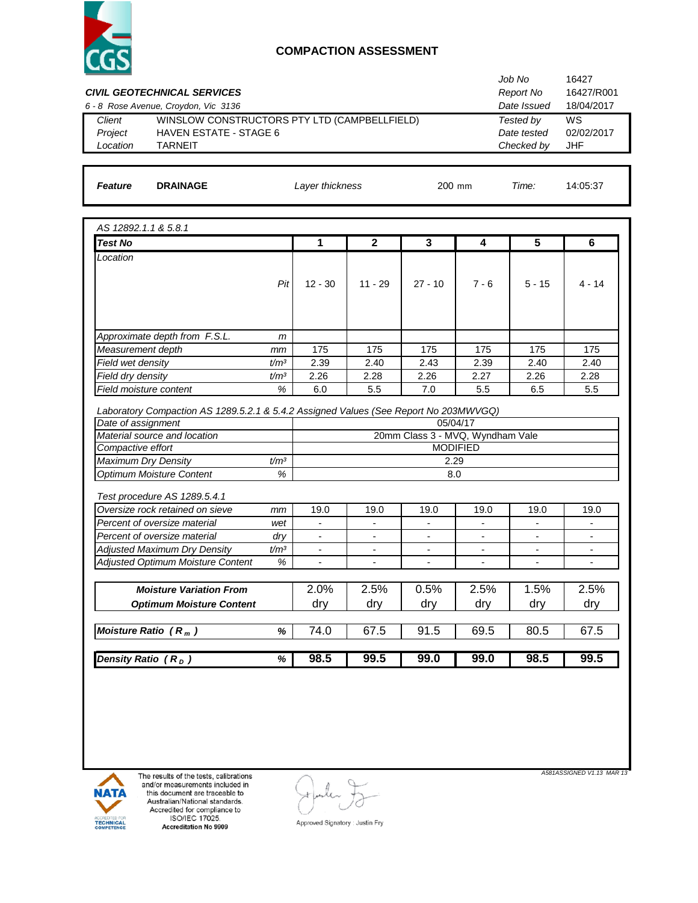

| <b>CIVIL GEOTECHNICAL SERVICES</b>                                                   |                                          |                          |                          |                                  |                          | Job No<br><b>Report No</b> | 16427<br>16427/R001      |
|--------------------------------------------------------------------------------------|------------------------------------------|--------------------------|--------------------------|----------------------------------|--------------------------|----------------------------|--------------------------|
| 6 - 8 Rose Avenue, Croydon, Vic 3136                                                 |                                          |                          |                          |                                  |                          | Date Issued                | 18/04/2017               |
| WINSLOW CONSTRUCTORS PTY LTD (CAMPBELLFIELD)<br>Client                               |                                          |                          |                          |                                  |                          | Tested by<br>Date tested   | WS<br>02/02/2017         |
|                                                                                      | Project<br><b>HAVEN ESTATE - STAGE 6</b> |                          |                          |                                  |                          |                            |                          |
| Location<br><b>TARNEIT</b>                                                           |                                          |                          |                          |                                  |                          | Checked by                 | <b>JHF</b>               |
|                                                                                      |                                          |                          |                          |                                  |                          |                            |                          |
| Feature<br><b>DRAINAGE</b>                                                           |                                          | Layer thickness          |                          | 200 mm                           | Time:                    | 14:05:37                   |                          |
| AS 12892.1.1 & 5.8.1                                                                 |                                          |                          |                          |                                  |                          |                            |                          |
| <b>Test No</b>                                                                       |                                          | $\mathbf{1}$             | $\mathbf{2}$             | 3                                | 4                        | 5                          | 6                        |
| Location                                                                             |                                          |                          |                          |                                  |                          |                            |                          |
|                                                                                      |                                          |                          |                          |                                  |                          |                            |                          |
|                                                                                      | Pit                                      | $12 - 30$                | $11 - 29$                | $27 - 10$                        | $7 - 6$                  | $5 - 15$                   | $4 - 14$                 |
|                                                                                      |                                          |                          |                          |                                  |                          |                            |                          |
|                                                                                      |                                          |                          |                          |                                  |                          |                            |                          |
|                                                                                      |                                          |                          |                          |                                  |                          |                            |                          |
| Approximate depth from F.S.L.                                                        | m                                        |                          |                          |                                  |                          |                            |                          |
| Measurement depth                                                                    | mm                                       | 175                      | 175                      | 175                              | 175                      | 175                        | 175                      |
| Field wet density                                                                    | t/m <sup>3</sup>                         | 2.39                     | 2.40                     | 2.43                             | 2.39                     | 2.40                       | 2.40                     |
| Field dry density                                                                    | t/m <sup>3</sup>                         | 2.26                     | 2.28                     | 2.26                             | 2.27                     | 2.26                       | 2.28                     |
| Field moisture content                                                               | $\%$                                     | 6.0                      | 5.5                      | 7.0                              | 5.5                      | 6.5                        | 5.5                      |
| Laboratory Compaction AS 1289.5.2.1 & 5.4.2 Assigned Values (See Report No 203MWVGQ) |                                          |                          |                          |                                  |                          |                            |                          |
| Date of assignment                                                                   |                                          |                          |                          |                                  | 05/04/17                 |                            |                          |
| Material source and location                                                         |                                          |                          |                          | 20mm Class 3 - MVQ, Wyndham Vale |                          |                            |                          |
| Compactive effort                                                                    |                                          |                          |                          |                                  | <b>MODIFIED</b>          |                            |                          |
| Maximum Dry Density                                                                  | t/m <sup>3</sup>                         |                          |                          | 2.29                             |                          |                            |                          |
| Optimum Moisture Content                                                             | %                                        |                          |                          | 8.0                              |                          |                            |                          |
|                                                                                      |                                          |                          |                          |                                  |                          |                            |                          |
| Test procedure AS 1289.5.4.1                                                         |                                          |                          |                          |                                  |                          |                            |                          |
| Oversize rock retained on sieve                                                      | mm                                       | 19.0                     | 19.0                     | 19.0                             | 19.0                     | 19.0                       | 19.0                     |
| Percent of oversize material                                                         | wet                                      | $\blacksquare$           | $\blacksquare$           | $\blacksquare$                   | $\overline{\phantom{a}}$ |                            | $\overline{\phantom{a}}$ |
| Percent of oversize material                                                         | dry                                      | $\overline{\phantom{a}}$ | $\overline{\phantom{a}}$ | $\overline{\phantom{a}}$         | $\overline{\phantom{a}}$ | $\overline{\phantom{a}}$   | $\overline{\phantom{a}}$ |
| <b>Adjusted Maximum Dry Density</b>                                                  | t/m <sup>3</sup>                         | -                        | $\overline{\phantom{a}}$ | $\overline{\phantom{a}}$         | -                        | $\overline{\phantom{a}}$   | $\overline{\phantom{a}}$ |
| Adjusted Optimum Moisture Content                                                    | $\%$                                     | $\overline{\phantom{a}}$ | $\overline{\phantom{a}}$ | $\overline{\phantom{a}}$         | $\overline{\phantom{a}}$ | $\overline{\phantom{a}}$   | $\overline{\phantom{a}}$ |
|                                                                                      |                                          |                          |                          |                                  |                          |                            |                          |
| <b>Moisture Variation From</b>                                                       |                                          | 2.0%                     | 2.5%                     | 0.5%                             | 2.5%                     | 1.5%                       | 2.5%                     |
| <b>Optimum Moisture Content</b>                                                      |                                          | dry                      | dry                      | dry                              | dry                      | dry                        | dry                      |
| Moisture Ratio $(R_m)$                                                               | $\%$                                     | 74.0                     | 67.5                     | 91.5                             | 69.5                     | 80.5                       | 67.5                     |
| Density Ratio $(R_D)$                                                                | %                                        | 98.5                     | 99.5                     | 99.0                             | 99.0                     | 98.5                       | 99.5                     |
|                                                                                      |                                          |                          |                          |                                  |                          |                            |                          |



The results of the tests, calibrations<br>and/or measurements included in<br>this document are traceable to<br>Australian/National standards.<br>Accredited for compliance to<br>ISO/IEC 17025.<br>Accreditation No 9909

 $\left(\cdot\right)$ 

Approved Signatory : Justin Fry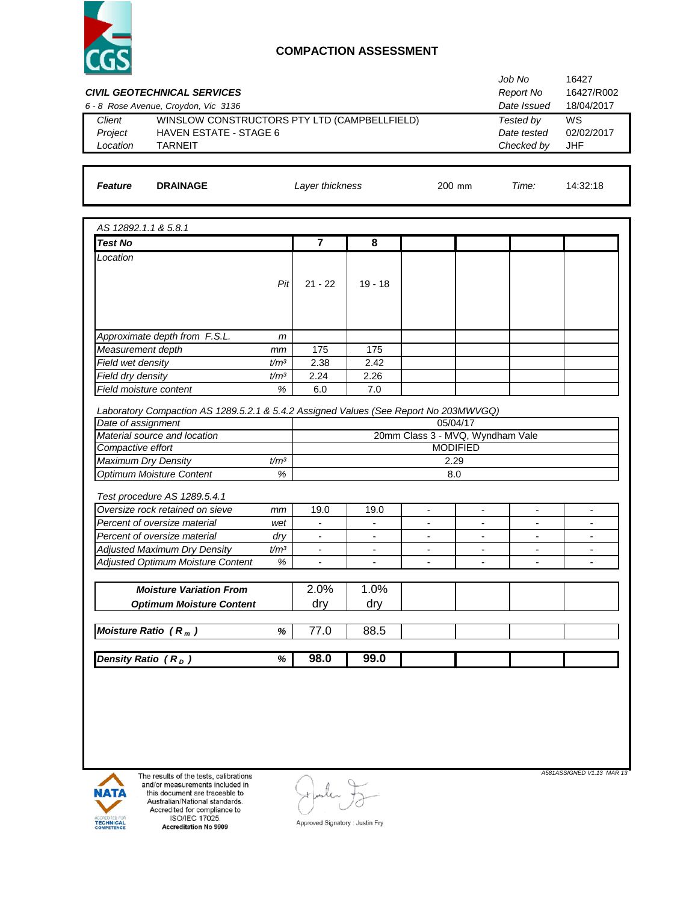

| WINSLOW CONSTRUCTORS PTY LTD (CAMPBELLFIELD)<br>Client<br>HAVEN ESTATE - STAGE 6<br>Project<br><b>TARNEIT</b><br>Location<br><b>DRAINAGE</b><br><b>Feature</b> |                           |                                            |                                            |                                  |                                                      | Tested by<br>Date tested                   | WS<br>02/02/2017                           |
|----------------------------------------------------------------------------------------------------------------------------------------------------------------|---------------------------|--------------------------------------------|--------------------------------------------|----------------------------------|------------------------------------------------------|--------------------------------------------|--------------------------------------------|
|                                                                                                                                                                |                           |                                            |                                            |                                  |                                                      | Checked by                                 | <b>JHF</b>                                 |
|                                                                                                                                                                | Layer thickness<br>200 mm |                                            |                                            |                                  |                                                      |                                            | 14:32:18                                   |
|                                                                                                                                                                |                           |                                            |                                            |                                  |                                                      |                                            |                                            |
| AS 12892.1.1 & 5.8.1                                                                                                                                           |                           |                                            |                                            |                                  |                                                      |                                            |                                            |
| <b>Test No</b>                                                                                                                                                 |                           | $\overline{7}$                             | 8                                          |                                  |                                                      |                                            |                                            |
| Location                                                                                                                                                       | Pit                       | $21 - 22$                                  | $19 - 18$                                  |                                  |                                                      |                                            |                                            |
| Approximate depth from F.S.L.                                                                                                                                  | m                         |                                            |                                            |                                  |                                                      |                                            |                                            |
| Measurement depth                                                                                                                                              | mm                        | 175                                        | 175                                        |                                  |                                                      |                                            |                                            |
| Field wet density                                                                                                                                              | t/m <sup>3</sup>          | 2.38                                       | 2.42                                       |                                  |                                                      |                                            |                                            |
| Field dry density                                                                                                                                              | t/m <sup>3</sup>          | 2.24                                       | 2.26                                       |                                  |                                                      |                                            |                                            |
| Field moisture content                                                                                                                                         | $\%$                      | 6.0                                        | $7.0$                                      |                                  |                                                      |                                            |                                            |
| Laboratory Compaction AS 1289.5.2.1 & 5.4.2 Assigned Values (See Report No 203MWVGQ)                                                                           |                           |                                            |                                            |                                  |                                                      |                                            |                                            |
| Date of assignment                                                                                                                                             |                           |                                            |                                            | 05/04/17                         |                                                      |                                            |                                            |
| Material source and location                                                                                                                                   |                           |                                            |                                            | 20mm Class 3 - MVQ, Wyndham Vale |                                                      |                                            |                                            |
| Compactive effort                                                                                                                                              |                           |                                            |                                            | <b>MODIFIED</b>                  |                                                      |                                            |                                            |
| Maximum Dry Density<br>Optimum Moisture Content                                                                                                                | t/m <sup>3</sup><br>%     |                                            |                                            | 2.29<br>8.0                      |                                                      |                                            |                                            |
|                                                                                                                                                                |                           |                                            |                                            |                                  |                                                      |                                            |                                            |
| Test procedure AS 1289.5.4.1                                                                                                                                   |                           |                                            |                                            |                                  |                                                      |                                            |                                            |
| Oversize rock retained on sieve                                                                                                                                | mm                        | 19.0                                       | 19.0                                       | $\overline{a}$                   | $\blacksquare$                                       |                                            |                                            |
| Percent of oversize material                                                                                                                                   | wet                       | $\blacksquare$                             | $\overline{a}$                             | $\overline{\phantom{0}}$         | $\overline{\phantom{0}}$                             |                                            |                                            |
| Percent of oversize material                                                                                                                                   | dry                       | $\overline{\phantom{a}}$                   | $\overline{\phantom{a}}$                   | $\overline{\phantom{0}}$         | $\overline{\phantom{a}}$                             | $\blacksquare$                             | $\blacksquare$                             |
| <b>Adjusted Maximum Dry Density</b><br>Adjusted Optimum Moisture Content                                                                                       | t/m <sup>3</sup><br>%     | $\blacksquare$<br>$\overline{\phantom{a}}$ | $\blacksquare$<br>$\overline{\phantom{a}}$ | ٠<br>$\overline{\phantom{0}}$    | $\overline{\phantom{0}}$<br>$\overline{\phantom{a}}$ | $\overline{a}$<br>$\overline{\phantom{a}}$ | $\blacksquare$<br>$\overline{\phantom{a}}$ |
|                                                                                                                                                                |                           |                                            |                                            |                                  |                                                      |                                            |                                            |
| <b>Moisture Variation From</b>                                                                                                                                 |                           | 2.0%                                       | 1.0%                                       |                                  |                                                      |                                            |                                            |
| <b>Optimum Moisture Content</b>                                                                                                                                |                           | dry                                        | dry                                        |                                  |                                                      |                                            |                                            |
|                                                                                                                                                                |                           |                                            |                                            |                                  |                                                      |                                            |                                            |
| Moisture Ratio $(R_m)$                                                                                                                                         | $\%$                      | 77.0                                       | 88.5                                       |                                  |                                                      |                                            |                                            |
| Density Ratio (R <sub>D</sub> )                                                                                                                                | %                         | 98.0                                       | 99.0                                       |                                  |                                                      |                                            |                                            |
|                                                                                                                                                                |                           |                                            |                                            |                                  |                                                      |                                            |                                            |



The results of the tests, calibrations<br>and/or measurements included in<br>this document are traceable to<br>Australian/National standards.<br>Accredited for compliance to<br>ISO/IEC 17025.<br>Accreditation No 9909

 $\left(\cdot\right)$ 

*A581ASSIGNED V1.13 MAR 13*

Approved Signatory : Justin Fry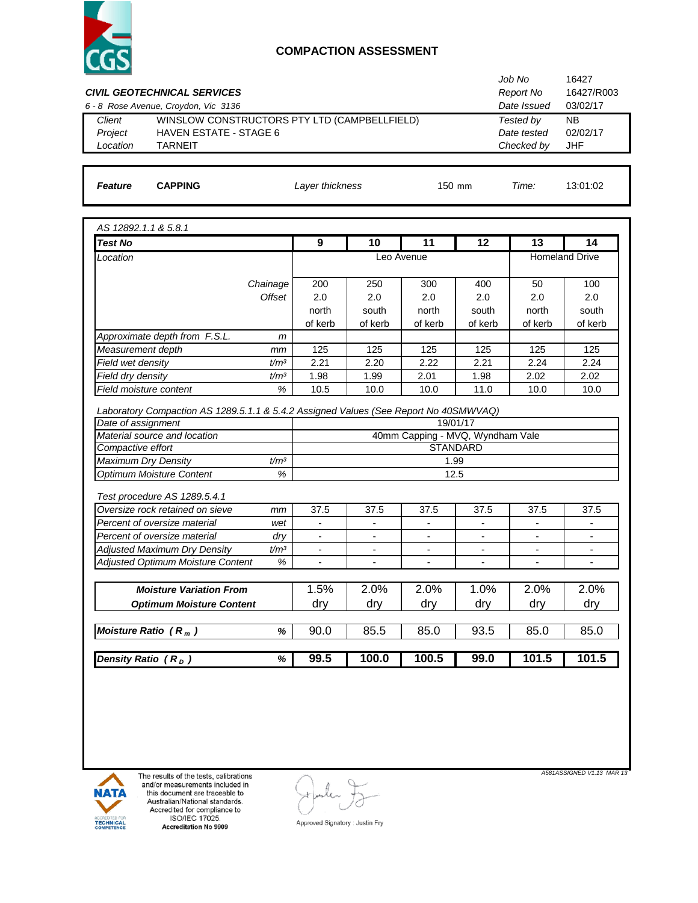

|                                     |                                                                                      | Job No<br>16427          |                          |                                  |                              |                                 |                          |
|-------------------------------------|--------------------------------------------------------------------------------------|--------------------------|--------------------------|----------------------------------|------------------------------|---------------------------------|--------------------------|
|                                     | <b>CIVIL GEOTECHNICAL SERVICES</b>                                                   |                          |                          |                                  |                              | <b>Report No</b><br>Date Issued | 16427/R003<br>03/02/17   |
| Client                              | 6 - 8 Rose Avenue, Croydon, Vic 3136<br>WINSLOW CONSTRUCTORS PTY LTD (CAMPBELLFIELD) |                          |                          |                                  |                              | Tested by                       | <b>NB</b>                |
| Project                             | <b>HAVEN ESTATE - STAGE 6</b>                                                        |                          | Date tested              | 02/02/17                         |                              |                                 |                          |
| Location                            | <b>TARNEIT</b>                                                                       |                          |                          |                                  |                              | Checked by                      | <b>JHF</b>               |
|                                     |                                                                                      |                          |                          |                                  |                              |                                 |                          |
|                                     |                                                                                      |                          |                          |                                  |                              |                                 | 13:01:02                 |
| Feature                             | <b>CAPPING</b>                                                                       | Layer thickness          |                          | 150 mm                           | Time:                        |                                 |                          |
| AS 12892.1.1 & 5.8.1                |                                                                                      |                          |                          |                                  |                              |                                 |                          |
| <b>Test No</b>                      |                                                                                      | 9                        | 10                       | 11                               | 12                           | 13                              | 14                       |
| Location                            |                                                                                      |                          |                          | Leo Avenue                       |                              |                                 | Homeland Drive           |
|                                     | Chainage                                                                             | 200                      | 250                      | 300                              | 400                          | 50                              | 100                      |
|                                     | <b>Offset</b>                                                                        | 2.0                      | 2.0                      | 2.0                              | 2.0                          | 2.0                             | 2.0                      |
|                                     |                                                                                      | north                    | south                    | north                            | south                        | north                           | south                    |
|                                     |                                                                                      | of kerb                  | of kerb                  | of kerb                          | of kerb                      | of kerb                         | of kerb                  |
| Approximate depth from F.S.L.       | m                                                                                    |                          |                          |                                  |                              |                                 |                          |
| Measurement depth                   | mm                                                                                   | 125                      | 125                      | 125                              | 125                          | 125                             | 125                      |
| Field wet density                   | t/m <sup>3</sup>                                                                     | 2.21                     | 2.20                     | 2.22                             | 2.21                         | 2.24                            | 2.24                     |
| Field dry density                   | t/m <sup>3</sup>                                                                     | 1.98                     | 1.99                     | 2.01                             | 1.98                         | 2.02                            | 2.02                     |
| $\%$<br>Field moisture content      |                                                                                      | 10.5                     | 10.0                     | 10.0                             | 11.0                         | 10.0                            | 10.0                     |
|                                     | Laboratory Compaction AS 1289.5.1.1 & 5.4.2 Assigned Values (See Report No 40SMWVAQ) |                          |                          |                                  |                              |                                 |                          |
| Date of assignment                  |                                                                                      |                          |                          |                                  | 19/01/17                     |                                 |                          |
| Material source and location        |                                                                                      |                          |                          | 40mm Capping - MVQ, Wyndham Vale |                              |                                 |                          |
| Compactive effort                   |                                                                                      |                          |                          |                                  | <b>STANDARD</b>              |                                 |                          |
| Maximum Dry Density                 | t/m <sup>3</sup>                                                                     |                          |                          | 1.99                             |                              |                                 |                          |
| Optimum Moisture Content            | $\%$                                                                                 |                          |                          | 12.5                             |                              |                                 |                          |
| Test procedure AS 1289.5.4.1        |                                                                                      |                          |                          |                                  |                              |                                 |                          |
|                                     | Oversize rock retained on sieve<br>mm                                                | 37.5                     | 37.5                     | 37.5                             | 37.5                         | 37.5                            | 37.5                     |
| Percent of oversize material        | wet                                                                                  | $\overline{\phantom{0}}$ | $\overline{\phantom{a}}$ | $\overline{\phantom{a}}$         | $\qquad \qquad \blacksquare$ | $\overline{\phantom{a}}$        | $\overline{\phantom{a}}$ |
| Percent of oversize material        | dry                                                                                  | $\overline{\phantom{a}}$ | $\overline{\phantom{a}}$ | $\overline{\phantom{a}}$         | $\overline{\phantom{a}}$     | $\overline{\phantom{a}}$        | $\overline{\phantom{a}}$ |
| <b>Adjusted Maximum Dry Density</b> | t/m <sup>3</sup>                                                                     | $\overline{\phantom{a}}$ | $\overline{\phantom{a}}$ | $\overline{\phantom{a}}$         | $\overline{\phantom{a}}$     | $\overline{\phantom{a}}$        | $\overline{\phantom{a}}$ |
|                                     | Adjusted Optimum Moisture Content<br>%                                               | -                        | $\overline{\phantom{a}}$ | $\overline{\phantom{a}}$         | $\overline{\phantom{a}}$     | $\overline{\phantom{a}}$        | $\overline{\phantom{a}}$ |
|                                     | <b>Moisture Variation From</b>                                                       | 1.5%                     | 2.0%                     | 2.0%                             | $1.0\%$                      | 2.0%                            | 2.0%                     |
|                                     | <b>Optimum Moisture Content</b>                                                      | dry                      | dry                      | dry                              | dry                          | dry                             | dry                      |
|                                     |                                                                                      |                          |                          |                                  |                              |                                 |                          |
|                                     | $\%$                                                                                 | 90.0                     | 85.5                     | 85.0                             | 93.5                         | 85.0                            | 85.0                     |
| Moisture Ratio $(R_m)$              |                                                                                      |                          | 100.0                    | 100.5                            | 99.0                         | 101.5                           | 101.5                    |



The results of the tests, calibrations<br>and/or measurements included in<br>this document are traceable to<br>Australian/National standards.<br>Accredited for compliance to<br>ISO/IEC 17025.<br>Accreditation No 9909

 $\overline{C}$ 

Approved Signatory : Justin Fry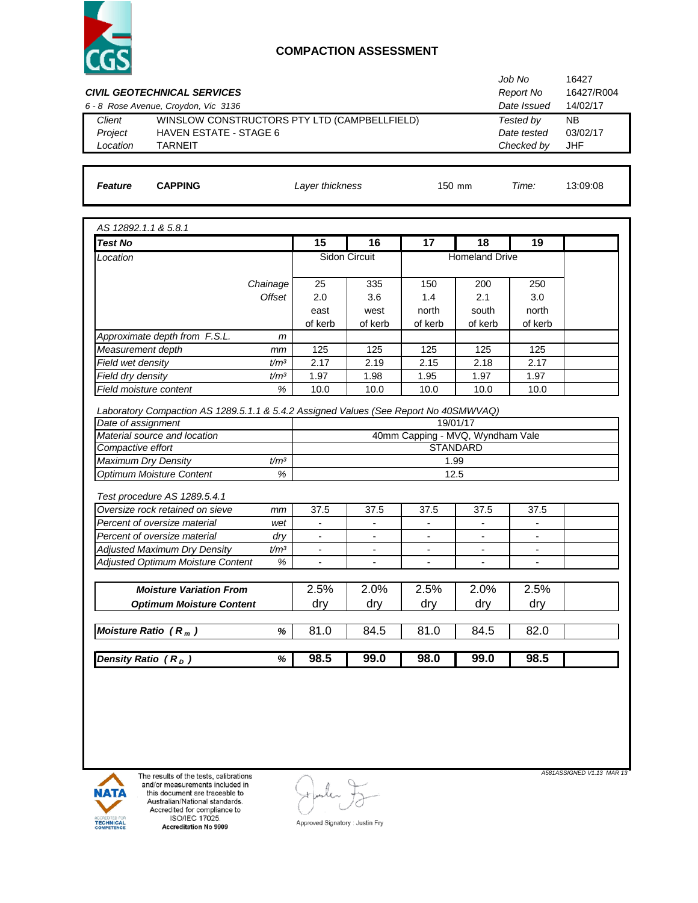

| Job No<br>Report No<br><b>CIVIL GEOTECHNICAL SERVICES</b> |                                                                                      |                                                     |                          |                          |                          |                          | 16427<br>16427/R004 |  |  |
|-----------------------------------------------------------|--------------------------------------------------------------------------------------|-----------------------------------------------------|--------------------------|--------------------------|--------------------------|--------------------------|---------------------|--|--|
| 6 - 8 Rose Avenue, Croydon, Vic 3136                      |                                                                                      | Date Issued                                         | 14/02/17                 |                          |                          |                          |                     |  |  |
| Client                                                    | WINSLOW CONSTRUCTORS PTY LTD (CAMPBELLFIELD)                                         |                                                     |                          |                          |                          | Tested by                | <b>NB</b>           |  |  |
| Project                                                   | <b>HAVEN ESTATE - STAGE 6</b>                                                        |                                                     |                          |                          |                          |                          |                     |  |  |
| Location<br><b>TARNEIT</b>                                |                                                                                      |                                                     |                          |                          |                          | Checked by               | <b>JHF</b>          |  |  |
|                                                           |                                                                                      |                                                     |                          |                          |                          |                          |                     |  |  |
| <b>CAPPING</b><br>Feature                                 |                                                                                      | Layer thickness                                     |                          |                          | 150 mm                   |                          | 13:09:08            |  |  |
| AS 12892.1.1 & 5.8.1                                      |                                                                                      |                                                     |                          |                          |                          |                          |                     |  |  |
| <b>Test No</b>                                            |                                                                                      | 15                                                  | 16                       | 17                       | 18                       | 19                       |                     |  |  |
| Location                                                  |                                                                                      |                                                     | Sidon Circuit            |                          | <b>Homeland Drive</b>    |                          |                     |  |  |
|                                                           |                                                                                      |                                                     |                          |                          |                          |                          |                     |  |  |
|                                                           | Chainage<br>Offset                                                                   | 25                                                  | 335                      | 150                      | 200                      | 250                      |                     |  |  |
|                                                           |                                                                                      | 2.0                                                 | 3.6                      | 1.4<br>north             | 2.1                      | 3.0<br>north             |                     |  |  |
|                                                           |                                                                                      | east<br>of kerb                                     | west<br>of kerb          | of kerb                  | south<br>of kerb         | of kerb                  |                     |  |  |
| Approximate depth from F.S.L.                             | m                                                                                    |                                                     |                          |                          |                          |                          |                     |  |  |
| Measurement depth                                         | mm                                                                                   | 125                                                 | 125                      | 125                      | 125                      | 125                      |                     |  |  |
| Field wet density                                         | t/m <sup>3</sup>                                                                     | 2.17                                                | 2.19                     | 2.15                     | 2.18                     | 2.17                     |                     |  |  |
| Field dry density                                         | t/m <sup>3</sup>                                                                     | 1.97                                                | 1.98                     | 1.95                     | 1.97                     | 1.97                     |                     |  |  |
| Field moisture content                                    | $\%$                                                                                 | 10.0                                                | 10.0                     | 10.0                     | 10.0                     | 10.0                     |                     |  |  |
|                                                           |                                                                                      |                                                     |                          |                          |                          |                          |                     |  |  |
|                                                           | Laboratory Compaction AS 1289.5.1.1 & 5.4.2 Assigned Values (See Report No 40SMWVAQ) |                                                     |                          |                          |                          |                          |                     |  |  |
| Date of assignment                                        |                                                                                      |                                                     |                          |                          | 19/01/17                 |                          |                     |  |  |
| Material source and location<br>Compactive effort         |                                                                                      | 40mm Capping - MVQ, Wyndham Vale<br><b>STANDARD</b> |                          |                          |                          |                          |                     |  |  |
| <b>Maximum Dry Density</b>                                | t/m <sup>3</sup>                                                                     |                                                     |                          | 1.99                     |                          |                          |                     |  |  |
| <b>Optimum Moisture Content</b>                           | %                                                                                    |                                                     |                          |                          | 12.5                     |                          |                     |  |  |
|                                                           |                                                                                      |                                                     |                          |                          |                          |                          |                     |  |  |
| Test procedure AS 1289.5.4.1                              |                                                                                      |                                                     |                          |                          |                          |                          |                     |  |  |
| Oversize rock retained on sieve                           | mm                                                                                   | 37.5                                                | 37.5                     | 37.5                     | 37.5                     | 37.5                     |                     |  |  |
| Percent of oversize material                              | wet                                                                                  | $\overline{\phantom{a}}$                            | $\overline{\phantom{a}}$ | $\overline{\phantom{a}}$ | $\overline{\phantom{a}}$ | $\blacksquare$           |                     |  |  |
| Percent of oversize material                              | dry                                                                                  | $\overline{\phantom{a}}$                            | $\blacksquare$           | $\blacksquare$           | $\blacksquare$           | $\blacksquare$           |                     |  |  |
| <b>Adjusted Maximum Dry Density</b>                       | t/m <sup>3</sup>                                                                     | $\overline{\phantom{a}}$                            | $\overline{\phantom{a}}$ | $\overline{\phantom{a}}$ | $\overline{\phantom{a}}$ | $\overline{\phantom{a}}$ |                     |  |  |
| Adjusted Optimum Moisture Content                         | %                                                                                    | $\overline{\phantom{a}}$                            | $\overline{\phantom{a}}$ | $\overline{\phantom{a}}$ | $\overline{\phantom{a}}$ | $\overline{\phantom{a}}$ |                     |  |  |
|                                                           | <b>Moisture Variation From</b>                                                       | 2.5%                                                | 2.0%                     | 2.5%                     | 2.0%                     | 2.5%                     |                     |  |  |
|                                                           | <b>Optimum Moisture Content</b>                                                      | dry                                                 | dry                      | dry                      | dry                      | dry                      |                     |  |  |
| Moisture Ratio $(R_m)$                                    | %                                                                                    | 81.0                                                | 84.5                     | 81.0                     | 84.5                     | 82.0                     |                     |  |  |
| Density Ratio $(R_D)$                                     | %                                                                                    | 98.5                                                | 99.0                     | 98.0                     | 99.0                     | 98.5                     |                     |  |  |
|                                                           |                                                                                      |                                                     |                          |                          |                          |                          |                     |  |  |



The results of the tests, calibrations<br>and/or measurements included in<br>this document are traceable to<br>Australian/National standards.<br>Accredited for compliance to<br>ISO/IEC 17025.<br>Accreditation No 9909

 $\subset$ 

*A581ASSIGNED V1.13 MAR 13*

Approved Signatory : Justin Fry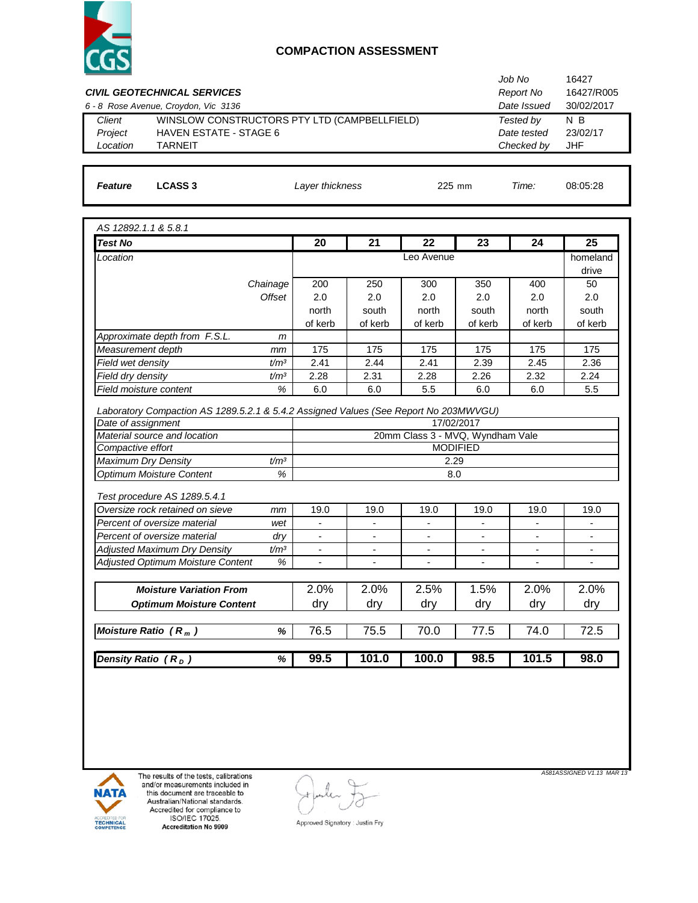

|                                                                                      |                          |                          |                                  |                              | Job No                   | 16427                    |  |  |
|--------------------------------------------------------------------------------------|--------------------------|--------------------------|----------------------------------|------------------------------|--------------------------|--------------------------|--|--|
| <b>CIVIL GEOTECHNICAL SERVICES</b>                                                   |                          |                          |                                  |                              | Report No                | 16427/R005               |  |  |
| 6 - 8 Rose Avenue, Croydon, Vic 3136                                                 |                          |                          |                                  |                              | Date Issued              | 30/02/2017               |  |  |
| WINSLOW CONSTRUCTORS PTY LTD (CAMPBELLFIELD)<br>Client                               |                          |                          |                                  |                              | Tested by                | $N$ B                    |  |  |
| Project<br><b>HAVEN ESTATE - STAGE 6</b>                                             |                          |                          |                                  | Date tested                  | 23/02/17                 |                          |  |  |
| Location<br><b>TARNEIT</b>                                                           |                          |                          | Checked by                       | <b>JHF</b>                   |                          |                          |  |  |
|                                                                                      |                          |                          |                                  |                              |                          |                          |  |  |
| Feature<br><b>LCASS 3</b>                                                            | Layer thickness          |                          | Time:                            | 08:05:28                     |                          |                          |  |  |
|                                                                                      |                          |                          |                                  |                              |                          |                          |  |  |
| AS 12892.1.1 & 5.8.1                                                                 |                          |                          |                                  |                              |                          |                          |  |  |
| <b>Test No</b>                                                                       | 20                       | 21                       | 22                               | 23                           | 24                       | 25                       |  |  |
| Location                                                                             |                          |                          | Leo Avenue                       |                              |                          | homeland                 |  |  |
|                                                                                      | 200                      |                          | 300                              | 350                          | 400                      | drive                    |  |  |
| Chainage<br>Offset                                                                   | 2.0                      | 250<br>2.0               | 2.0                              | 2.0                          | 2.0                      | 50<br>2.0                |  |  |
|                                                                                      | north                    | south                    | north                            | south                        | north                    | south                    |  |  |
|                                                                                      | of kerb                  | of kerb                  | of kerb                          | of kerb                      | of kerb                  | of kerb                  |  |  |
| Approximate depth from F.S.L.<br>m                                                   |                          |                          |                                  |                              |                          |                          |  |  |
| Measurement depth<br>mm                                                              | 175                      | 175                      | 175                              | 175                          | 175                      | 175                      |  |  |
| Field wet density<br>t/m <sup>3</sup>                                                | 2.41                     | 2.44                     | 2.41                             | 2.39                         | 2.45                     | 2.36                     |  |  |
| Field dry density<br>t/m <sup>3</sup>                                                | 2.28                     | 2.31                     | 2.28                             | 2.26                         | 2.32                     | 2.24                     |  |  |
| %<br>Field moisture content                                                          | 6.0                      | 6.0                      | 5.5                              | 6.0                          | 6.0                      | 5.5                      |  |  |
|                                                                                      |                          |                          |                                  |                              |                          |                          |  |  |
| Laboratory Compaction AS 1289.5.2.1 & 5.4.2 Assigned Values (See Report No 203MWVGU) |                          |                          |                                  |                              |                          |                          |  |  |
| Date of assignment                                                                   |                          |                          |                                  | 17/02/2017                   |                          |                          |  |  |
| Material source and location<br>Compactive effort                                    |                          |                          | 20mm Class 3 - MVQ, Wyndham Vale | <b>MODIFIED</b>              |                          |                          |  |  |
| Maximum Dry Density<br>t/m <sup>3</sup>                                              |                          |                          | 2.29                             |                              |                          |                          |  |  |
| %<br><b>Optimum Moisture Content</b>                                                 |                          | 8.0                      |                                  |                              |                          |                          |  |  |
|                                                                                      |                          |                          |                                  |                              |                          |                          |  |  |
| Test procedure AS 1289.5.4.1                                                         |                          |                          |                                  |                              |                          |                          |  |  |
| Oversize rock retained on sieve<br>mm                                                | 19.0                     | 19.0                     | 19.0                             | 19.0                         | 19.0                     | 19.0                     |  |  |
| Percent of oversize material<br>wet                                                  | $\overline{\phantom{0}}$ | $\overline{\phantom{a}}$ | $\overline{\phantom{a}}$         | $\overline{\phantom{a}}$     | $\overline{\phantom{0}}$ | $\blacksquare$           |  |  |
| Percent of oversize material<br>dry                                                  | $\overline{\phantom{a}}$ | $\blacksquare$           | $\overline{\phantom{a}}$         | $\overline{\phantom{a}}$     | $\overline{\phantom{0}}$ | $\overline{\phantom{a}}$ |  |  |
| <b>Adjusted Maximum Dry Density</b><br>t/m <sup>3</sup>                              | $\overline{\phantom{a}}$ | $\overline{\phantom{a}}$ | $\overline{\phantom{a}}$         | $\overline{\phantom{a}}$     | $\overline{\phantom{a}}$ | $\overline{\phantom{a}}$ |  |  |
| Adjusted Optimum Moisture Content<br>%                                               | ۰                        | $\overline{\phantom{a}}$ | $\overline{\phantom{a}}$         | $\qquad \qquad \blacksquare$ | $\overline{\phantom{a}}$ | $\overline{\phantom{a}}$ |  |  |
|                                                                                      |                          |                          |                                  |                              |                          |                          |  |  |
|                                                                                      |                          |                          |                                  |                              |                          |                          |  |  |
| <b>Moisture Variation From</b>                                                       | 2.0%                     | 2.0%                     | 2.5%                             | 1.5%                         | 2.0%                     | 2.0%                     |  |  |
| <b>Optimum Moisture Content</b>                                                      | dry                      | dry                      | dry                              | dry                          | dry                      | dry                      |  |  |
| Moisture Ratio $(R_m)$<br>$\%$                                                       | 76.5                     | 75.5                     | 70.0                             | 77.5                         | 74.0                     | 72.5                     |  |  |
| Density Ratio $(R_D)$<br>%                                                           | 99.5                     | 101.0                    | 100.0                            | 98.5                         | 101.5                    | 98.0                     |  |  |



The results of the tests, calibrations<br>and/or measurements included in<br>this document are traceable to<br>Australian/National standards.<br>Accredited for compliance to<br>ISO/IEC 17025.<br>Accreditation No 9909

 $\subset$ 

Approved Signatory : Justin Fry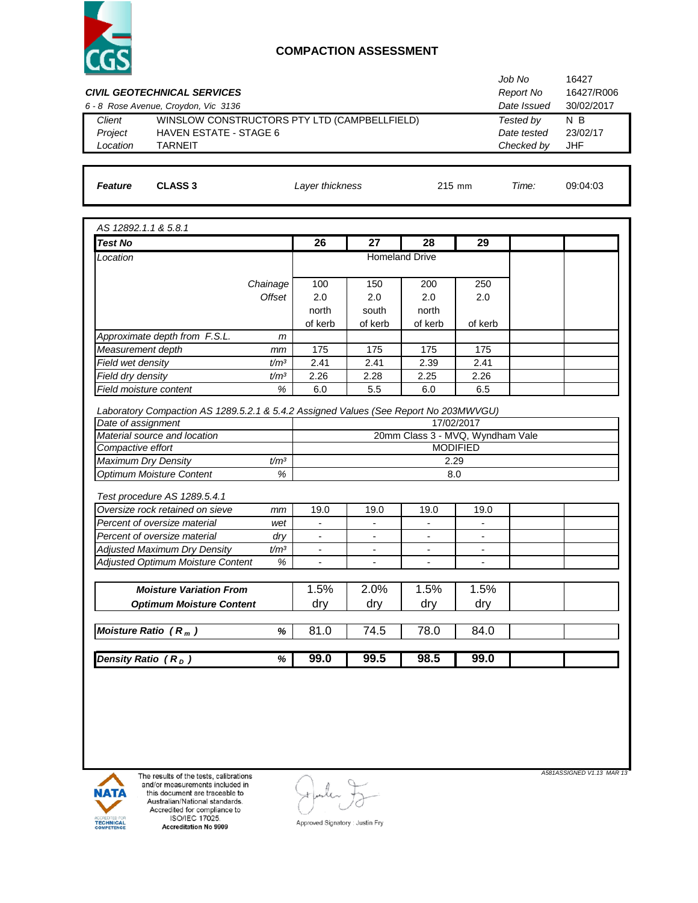

| <b>CIVIL GEOTECHNICAL SERVICES</b>                                                   |                                              |                                  |                |                          |                          | Job No<br><b>Report No</b> | 16427<br>16427/R006 |  |  |
|--------------------------------------------------------------------------------------|----------------------------------------------|----------------------------------|----------------|--------------------------|--------------------------|----------------------------|---------------------|--|--|
| 6 - 8 Rose Avenue, Croydon, Vic 3136                                                 |                                              |                                  |                |                          |                          | Date Issued                | 30/02/2017          |  |  |
| Client                                                                               | WINSLOW CONSTRUCTORS PTY LTD (CAMPBELLFIELD) |                                  |                |                          |                          | Tested by                  | N B                 |  |  |
| Project                                                                              | <b>HAVEN ESTATE - STAGE 6</b>                |                                  |                |                          |                          | Date tested                | 23/02/17            |  |  |
| Location<br><b>TARNEIT</b>                                                           |                                              |                                  |                |                          |                          | Checked by                 | <b>JHF</b>          |  |  |
|                                                                                      |                                              |                                  |                |                          |                          |                            |                     |  |  |
| <b>CLASS 3</b><br><b>Feature</b>                                                     |                                              | Layer thickness                  |                | 215 mm                   | Time:                    | 09:04:03                   |                     |  |  |
|                                                                                      |                                              |                                  |                |                          |                          |                            |                     |  |  |
| AS 12892.1.1 & 5.8.1                                                                 |                                              |                                  |                |                          |                          |                            |                     |  |  |
| <b>Test No</b>                                                                       |                                              | 26                               | 27             | 28                       | 29                       |                            |                     |  |  |
| Location                                                                             |                                              |                                  |                | <b>Homeland Drive</b>    |                          |                            |                     |  |  |
|                                                                                      | Chainage                                     | 100                              | 150            | 200                      | 250                      |                            |                     |  |  |
|                                                                                      | Offset                                       | 2.0                              | 2.0            | 2.0                      | 2.0                      |                            |                     |  |  |
|                                                                                      |                                              | north                            | south          | north                    |                          |                            |                     |  |  |
|                                                                                      |                                              | of kerb                          | of kerb        | of kerb                  | of kerb                  |                            |                     |  |  |
| Approximate depth from F.S.L.                                                        | m                                            |                                  |                |                          |                          |                            |                     |  |  |
| Measurement depth                                                                    | mm                                           | 175                              | 175            | 175                      | 175                      |                            |                     |  |  |
| Field wet density                                                                    | t/m <sup>3</sup>                             | 2.41                             | 2.41           | 2.39                     | 2.41                     |                            |                     |  |  |
| Field dry density                                                                    | t/m <sup>3</sup>                             | 2.26                             | 2.28           | 2.25                     | 2.26                     |                            |                     |  |  |
| Field moisture content                                                               | $\%$                                         | 6.0                              | 5.5            | 6.0                      | 6.5                      |                            |                     |  |  |
| Laboratory Compaction AS 1289.5.2.1 & 5.4.2 Assigned Values (See Report No 203MWVGU) |                                              |                                  |                |                          |                          |                            |                     |  |  |
| Date of assignment                                                                   |                                              |                                  |                |                          | 17/02/2017               |                            |                     |  |  |
| Material source and location                                                         |                                              | 20mm Class 3 - MVQ, Wyndham Vale |                |                          |                          |                            |                     |  |  |
| Compactive effort                                                                    |                                              |                                  |                |                          | <b>MODIFIED</b>          |                            |                     |  |  |
| Maximum Dry Density                                                                  | t/m <sup>3</sup>                             |                                  |                | 2.29                     |                          |                            |                     |  |  |
| <b>Optimum Moisture Content</b>                                                      | %                                            |                                  |                | 8.0                      |                          |                            |                     |  |  |
|                                                                                      |                                              |                                  |                |                          |                          |                            |                     |  |  |
| Test procedure AS 1289.5.4.1<br>Oversize rock retained on sieve                      |                                              | 19.0                             | 19.0           | 19.0                     | 19.0                     |                            |                     |  |  |
| Percent of oversize material                                                         | mm<br>wet                                    | $\blacksquare$                   |                | $\overline{a}$           | $\blacksquare$           |                            |                     |  |  |
| Percent of oversize material                                                         | dry                                          | $\overline{\phantom{a}}$         |                | $\blacksquare$           | $\blacksquare$           |                            |                     |  |  |
| <b>Adjusted Maximum Dry Density</b>                                                  | t/m <sup>3</sup>                             | $\blacksquare$                   | $\blacksquare$ | $\blacksquare$           | $\blacksquare$           |                            |                     |  |  |
| Adjusted Optimum Moisture Content                                                    | $\%$                                         | $\blacksquare$                   | $\blacksquare$ | $\overline{\phantom{a}}$ | $\overline{\phantom{a}}$ |                            |                     |  |  |
|                                                                                      |                                              |                                  |                |                          |                          |                            |                     |  |  |
| <b>Moisture Variation From</b>                                                       |                                              | 1.5%                             | 2.0%           | 1.5%                     | 1.5%                     |                            |                     |  |  |
| <b>Optimum Moisture Content</b>                                                      |                                              | dry                              | dry            | dry                      | dry                      |                            |                     |  |  |
| Moisture Ratio $(R_m)$                                                               | $\%$                                         | 81.0                             | 74.5           | 78.0                     | 84.0                     |                            |                     |  |  |
| Density Ratio $(R_D)$                                                                |                                              |                                  |                |                          |                          |                            |                     |  |  |
|                                                                                      | %                                            | 99.0                             | 99.5           | 98.5                     | 99.0                     |                            |                     |  |  |



The results of the tests, calibrations<br>and/or measurements included in<br>this document are traceable to<br>Australian/National standards.<br>Accredited for compliance to<br>ISO/IEC 17025.<br>Accreditation No 9909

 $\left(\cdot\right)$ 

*A581ASSIGNED V1.13 MAR 13*

Approved Signatory : Justin Fry